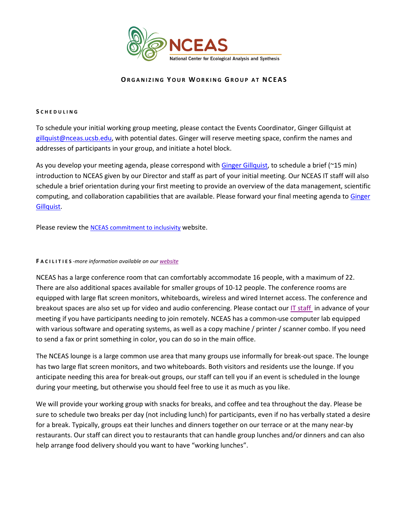

# **ORGANIZING YOUR WORKING GROUP AT NCEAS**

# **S CHEDULING**

To schedule your initial working group meeting, please contact the Events Coordinator, Ginger Gillquist at [gillquist@nceas.ucsb.edu,](mailto:gillquist@nceas.ucsb.edu) with potential dates. Ginger will reserve meeting space, confirm the names and addresses of participants in your group, and initiate a hotel block.

As you develop your meeting agenda, please correspond with [Ginger Gillquist,](mailto:gillquist@nceas.ucsb.edu) to schedule a brief (~15 min) introduction to NCEAS given by our Director and staff as part of your initial meeting. Our NCEAS IT staff will also schedule a brief orientation during your first meeting to provide an overview of the data management, scientific computing, and collaboration capabilities that are available. Please forward your final meeting agenda to Ginger [Gillquist.](mailto:gillquist@nceas.ucsb.edu)

Please review the **NCEAS** commitment to inclusivity website.

### **F ACILITIES** *-more information available on ou[r website](http://www.nceas.ucsb.edu/facilities)*

NCEAS has a large conference room that can comfortably accommodate 16 people, with a maximum of 22. There are also additional spaces available for smaller groups of 10-12 people. The conference rooms are equipped with large flat screen monitors, whiteboards, wireless and wired Internet access. The conference and breakout spaces are also set up for video and audio conferencing. Please contact our [IT staff](mailto:help@nceas.ucsb.edu) in advance of your meeting if you have participants needing to join remotely. NCEAS has a common-use computer lab equipped with various software and operating systems, as well as a copy machine / printer / scanner combo. If you need to send a fax or print something in color, you can do so in the main office.

The NCEAS lounge is a large common use area that many groups use informally for break-out space. The lounge has two large flat screen monitors, and two whiteboards. Both visitors and residents use the lounge. If you anticipate needing this area for break-out groups, our staff can tell you if an event is scheduled in the lounge during your meeting, but otherwise you should feel free to use it as much as you like.

We will provide your working group with snacks for breaks, and coffee and tea throughout the day. Please be sure to schedule two breaks per day (not including lunch) for participants, even if no has verbally stated a desire for a break. Typically, groups eat their lunches and dinners together on our terrace or at the many near-by restaurants. Our staff can direct you to restaurants that can handle group lunches and/or dinners and can also help arrange food delivery should you want to have "working lunches".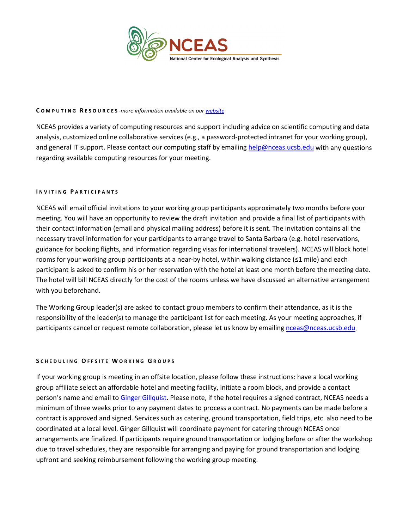

## **C OMPUTING R ESOURCES** *-more information available on ou[r website](https://pages.github.nceas.ucsb.edu/NCEAS/Computing/)*

NCEAS provides a variety of computing resources and support including advice on scientific computing and data analysis, customized online collaborative services (e.g., a password-protected intranet for your working group), and general IT support. Please contact our computing staff by emailing [help@nceas.ucsb.edu](mailto:help@nceas.ucsb.edu) with any questions regarding available computing resources for your meeting.

### **I NVITING P ARTICIPANTS**

NCEAS will email official invitations to your working group participants approximately two months before your meeting. You will have an opportunity to review the draft invitation and provide a final list of participants with their contact information (email and physical mailing address) before it is sent. The invitation contains all the necessary travel information for your participants to arrange travel to Santa Barbara (e.g. hotel reservations, guidance for booking flights, and information regarding visas for international travelers). NCEAS will block hotel rooms for your working group participants at a near-by hotel, within walking distance (≤1 mile) and each participant is asked to confirm his or her reservation with the hotel at least one month before the meeting date. The hotel will bill NCEAS directly for the cost of the rooms unless we have discussed an alternative arrangement with you beforehand.

The Working Group leader(s) are asked to contact group members to confirm their attendance, as it is the responsibility of the leader(s) to manage the participant list for each meeting. As your meeting approaches, if participants cancel or request remote collaboration, please let us know by emailing [nceas@nceas.ucsb.edu.](mailto:nceas@nceas.ucsb.edu)

# **S CHEDULING O FFSITE W ORKING G ROUPS**

If your working group is meeting in an offsite location, please follow these instructions: have a local working group affiliate select an affordable hotel and meeting facility, initiate a room block, and provide a contact person's name and email t[o Ginger Gillquist.](mailto:gillquist@nceas.ucsb.edu) Please note, if the hotel requires a signed contract, NCEAS needs a minimum of three weeks prior to any payment dates to process a contract. No payments can be made before a contract is approved and signed. Services such as catering, ground transportation, field trips, etc. also need to be coordinated at a local level. Ginger Gillquist will coordinate payment for catering through NCEAS once arrangements are finalized. If participants require ground transportation or lodging before or after the workshop due to travel schedules, they are responsible for arranging and paying for ground transportation and lodging upfront and seeking reimbursement following the working group meeting.